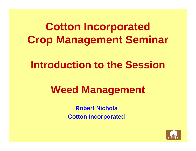# **Cotton Incorporated Crop Management Seminar**

### **Introduction to the Session**

## **Weed Management**

**Robert NicholsCotton Incorporated**

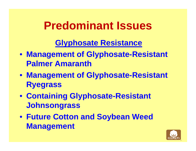# **Predominant Issues**

### **Glyphosate Resistance**

- **Management of Glyphosate-Resistant Palmer Amaranth**
- **Management of Glyphosate-Resistant Ryegrass**
- **Containing Glyphosate-Resistant Johnsongrass**
- **Future Cotton and Soybean Weed Management**

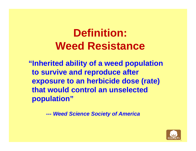# **Definition: Weed Resistance**

**"Inherited ability of a weed population to survive and reproduce after exposure to an herbicide dose (rate) that would control an unselected population"**

> *--- Weed Science Society of America*

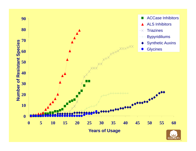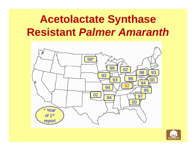## **Acetolactate Synthase Resistant** *Palmer Amaranth*



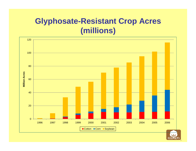### **Glyphosate-Resistant Crop Acres ( illi ) millions )**

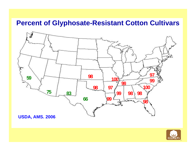#### **Percent of Glyphosate-Resistant Cotton Cultivars**



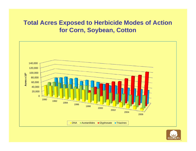#### **Total Acres Exposed to Herbicide Modes of Action f C S b C tt for Corn, Soy bean, Cotton**



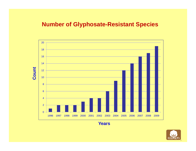#### **Number of Glyphosate-Resistant Species**



**Years**

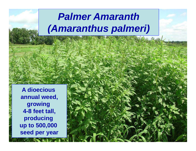## *Palmer Amaranth (Amaranthus palmeri)*

**A dioecious annual weed, growing 4-8 feet tall, producing up to 500,000 seed per year**

 $\mathcal{L}$   $\mathcal{L}$   $\mathcal{L}$  and  $\mathcal{L}$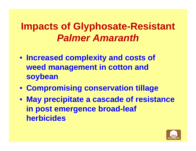### **Impacts of Glyphosate-Resistant** *Palmer Amaranth*

- **Increased complexity and costs of weed management in cotton and soybean**
- **Compromising conservation tillage**
- **May precipitate a cascade of resistance in post emergence broad-leaf herbicides**